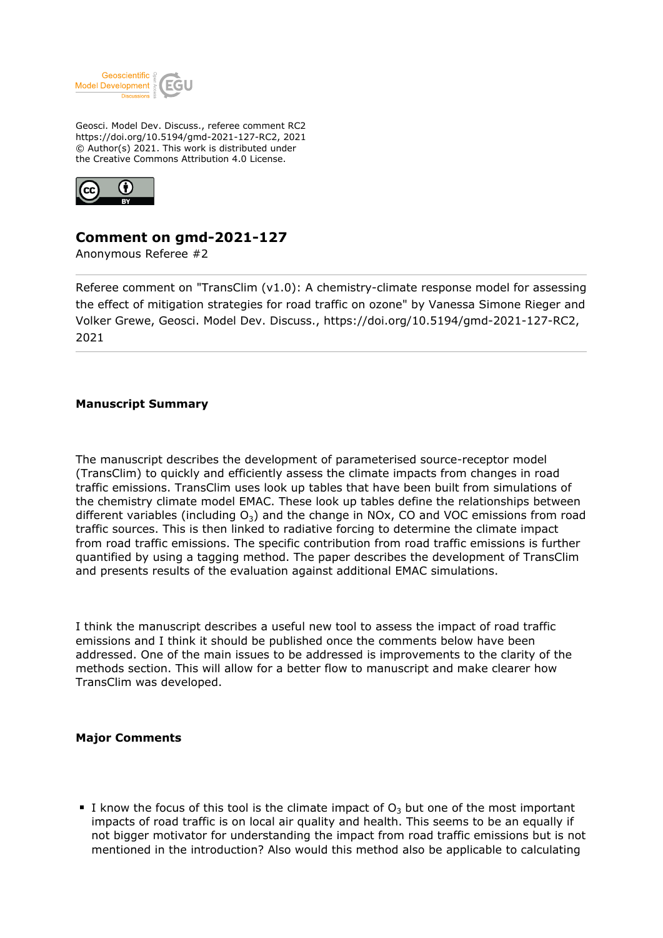

Geosci. Model Dev. Discuss., referee comment RC2 https://doi.org/10.5194/gmd-2021-127-RC2, 2021 © Author(s) 2021. This work is distributed under the Creative Commons Attribution 4.0 License.



## **Comment on gmd-2021-127**

Anonymous Referee #2

Referee comment on "TransClim (v1.0): A chemistry-climate response model for assessing the effect of mitigation strategies for road traffic on ozone" by Vanessa Simone Rieger and Volker Grewe, Geosci. Model Dev. Discuss., https://doi.org/10.5194/gmd-2021-127-RC2, 2021

## **Manuscript Summary**

The manuscript describes the development of parameterised source-receptor model (TransClim) to quickly and efficiently assess the climate impacts from changes in road traffic emissions. TransClim uses look up tables that have been built from simulations of the chemistry climate model EMAC. These look up tables define the relationships between different variables (including  $O_3$ ) and the change in NOx, CO and VOC emissions from road traffic sources. This is then linked to radiative forcing to determine the climate impact from road traffic emissions. The specific contribution from road traffic emissions is further quantified by using a tagging method. The paper describes the development of TransClim and presents results of the evaluation against additional EMAC simulations.

I think the manuscript describes a useful new tool to assess the impact of road traffic emissions and I think it should be published once the comments below have been addressed. One of the main issues to be addressed is improvements to the clarity of the methods section. This will allow for a better flow to manuscript and make clearer how TransClim was developed.

## **Major Comments**

I know the focus of this tool is the climate impact of  $O_3$  but one of the most important impacts of road traffic is on local air quality and health. This seems to be an equally if not bigger motivator for understanding the impact from road traffic emissions but is not mentioned in the introduction? Also would this method also be applicable to calculating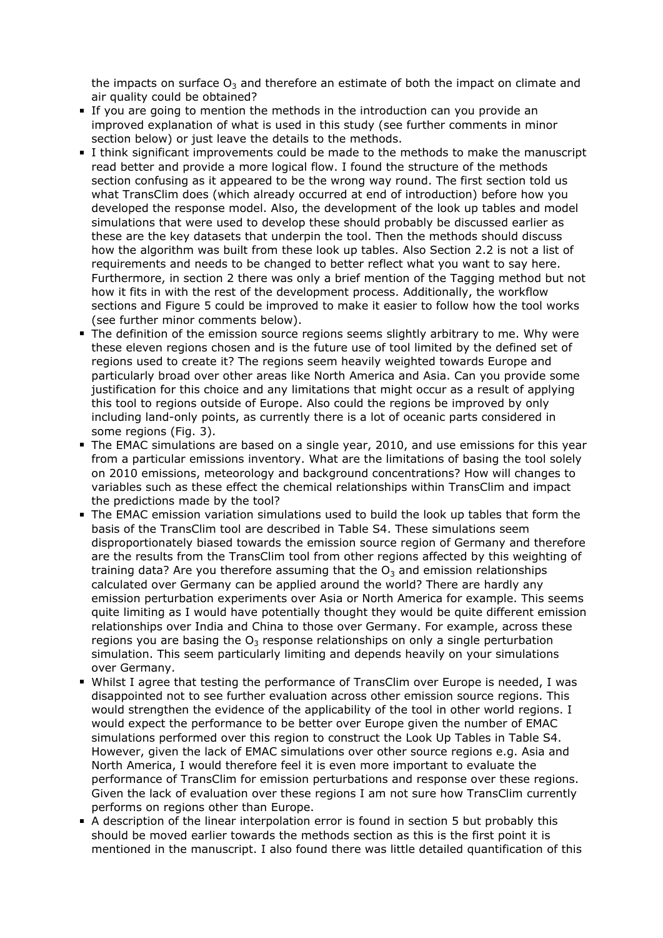the impacts on surface  $O_3$  and therefore an estimate of both the impact on climate and air quality could be obtained?

- If you are going to mention the methods in the introduction can you provide an improved explanation of what is used in this study (see further comments in minor section below) or just leave the details to the methods.
- I think significant improvements could be made to the methods to make the manuscript read better and provide a more logical flow. I found the structure of the methods section confusing as it appeared to be the wrong way round. The first section told us what TransClim does (which already occurred at end of introduction) before how you developed the response model. Also, the development of the look up tables and model simulations that were used to develop these should probably be discussed earlier as these are the key datasets that underpin the tool. Then the methods should discuss how the algorithm was built from these look up tables. Also Section 2.2 is not a list of requirements and needs to be changed to better reflect what you want to say here. Furthermore, in section 2 there was only a brief mention of the Tagging method but not how it fits in with the rest of the development process. Additionally, the workflow sections and Figure 5 could be improved to make it easier to follow how the tool works (see further minor comments below).
- The definition of the emission source regions seems slightly arbitrary to me. Why were these eleven regions chosen and is the future use of tool limited by the defined set of regions used to create it? The regions seem heavily weighted towards Europe and particularly broad over other areas like North America and Asia. Can you provide some justification for this choice and any limitations that might occur as a result of applying this tool to regions outside of Europe. Also could the regions be improved by only including land-only points, as currently there is a lot of oceanic parts considered in some regions (Fig. 3).
- The EMAC simulations are based on a single year, 2010, and use emissions for this year from a particular emissions inventory. What are the limitations of basing the tool solely on 2010 emissions, meteorology and background concentrations? How will changes to variables such as these effect the chemical relationships within TransClim and impact the predictions made by the tool?
- The EMAC emission variation simulations used to build the look up tables that form the basis of the TransClim tool are described in Table S4. These simulations seem disproportionately biased towards the emission source region of Germany and therefore are the results from the TransClim tool from other regions affected by this weighting of training data? Are you therefore assuming that the  $O_3$  and emission relationships calculated over Germany can be applied around the world? There are hardly any emission perturbation experiments over Asia or North America for example. This seems quite limiting as I would have potentially thought they would be quite different emission relationships over India and China to those over Germany. For example, across these regions you are basing the  $O_3$  response relationships on only a single perturbation simulation. This seem particularly limiting and depends heavily on your simulations over Germany.
- Whilst I agree that testing the performance of TransClim over Europe is needed, I was disappointed not to see further evaluation across other emission source regions. This would strengthen the evidence of the applicability of the tool in other world regions. I would expect the performance to be better over Europe given the number of EMAC simulations performed over this region to construct the Look Up Tables in Table S4. However, given the lack of EMAC simulations over other source regions e.g. Asia and North America, I would therefore feel it is even more important to evaluate the performance of TransClim for emission perturbations and response over these regions. Given the lack of evaluation over these regions I am not sure how TransClim currently performs on regions other than Europe.
- A description of the linear interpolation error is found in section 5 but probably this should be moved earlier towards the methods section as this is the first point it is mentioned in the manuscript. I also found there was little detailed quantification of this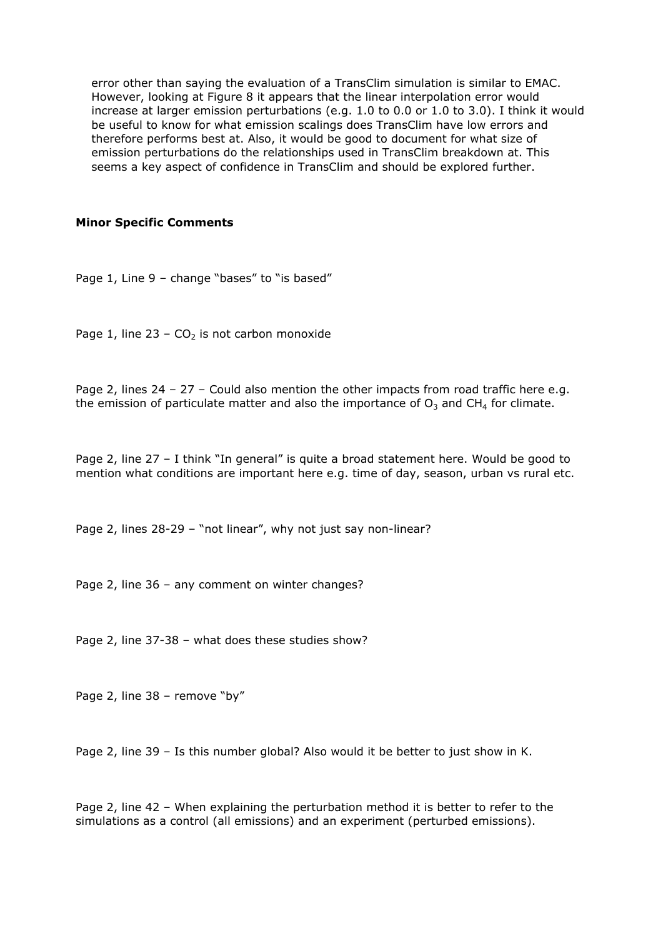error other than saying the evaluation of a TransClim simulation is similar to EMAC. However, looking at Figure 8 it appears that the linear interpolation error would increase at larger emission perturbations (e.g. 1.0 to 0.0 or 1.0 to 3.0). I think it would be useful to know for what emission scalings does TransClim have low errors and therefore performs best at. Also, it would be good to document for what size of emission perturbations do the relationships used in TransClim breakdown at. This seems a key aspect of confidence in TransClim and should be explored further.

## **Minor Specific Comments**

Page 1, Line 9 - change "bases" to "is based"

Page 1, line 23 –  $CO<sub>2</sub>$  is not carbon monoxide

Page 2, lines 24 - 27 - Could also mention the other impacts from road traffic here e.g. the emission of particulate matter and also the importance of  $O_3$  and CH<sub>4</sub> for climate.

Page 2, line 27 – I think "In general" is quite a broad statement here. Would be good to mention what conditions are important here e.g. time of day, season, urban vs rural etc.

Page 2, lines 28-29 – "not linear", why not just say non-linear?

Page 2, line 36 – any comment on winter changes?

Page 2, line 37-38 – what does these studies show?

Page 2, line 38 – remove "by"

Page 2, line 39 – Is this number global? Also would it be better to just show in K.

Page 2, line 42 – When explaining the perturbation method it is better to refer to the simulations as a control (all emissions) and an experiment (perturbed emissions).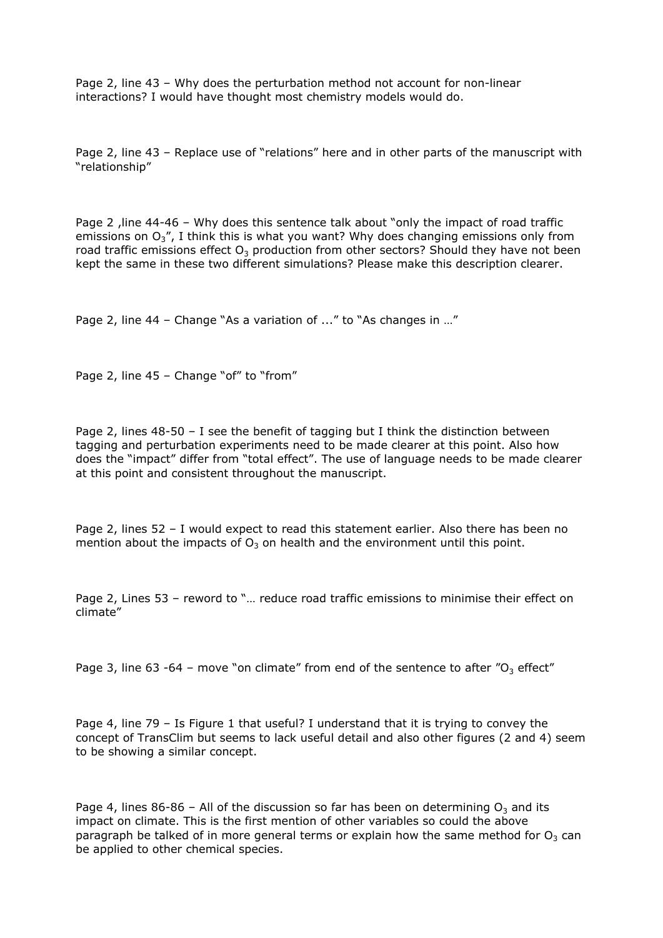Page 2, line 43 – Why does the perturbation method not account for non-linear interactions? I would have thought most chemistry models would do.

Page 2, line 43 – Replace use of "relations" here and in other parts of the manuscript with "relationship"

Page 2, line 44-46 - Why does this sentence talk about "only the impact of road traffic emissions on  $O_3$ ", I think this is what you want? Why does changing emissions only from road traffic emissions effect  $O_3$  production from other sectors? Should they have not been kept the same in these two different simulations? Please make this description clearer.

Page 2, line 44 – Change "As a variation of ..." to "As changes in …"

Page 2, line 45 - Change "of" to "from"

Page 2, lines  $48-50 - I$  see the benefit of tagging but I think the distinction between tagging and perturbation experiments need to be made clearer at this point. Also how does the "impact" differ from "total effect". The use of language needs to be made clearer at this point and consistent throughout the manuscript.

Page 2, lines 52 – I would expect to read this statement earlier. Also there has been no mention about the impacts of  $O_3$  on health and the environment until this point.

Page 2, Lines 53 – reword to "… reduce road traffic emissions to minimise their effect on climate"

Page 3, line 63 -64 - move "on climate" from end of the sentence to after "O<sub>3</sub> effect"

Page 4, line 79 – Is Figure 1 that useful? I understand that it is trying to convey the concept of TransClim but seems to lack useful detail and also other figures (2 and 4) seem to be showing a similar concept.

Page 4, lines 86-86 – All of the discussion so far has been on determining  $O_3$  and its impact on climate. This is the first mention of other variables so could the above paragraph be talked of in more general terms or explain how the same method for  $O_3$  can be applied to other chemical species.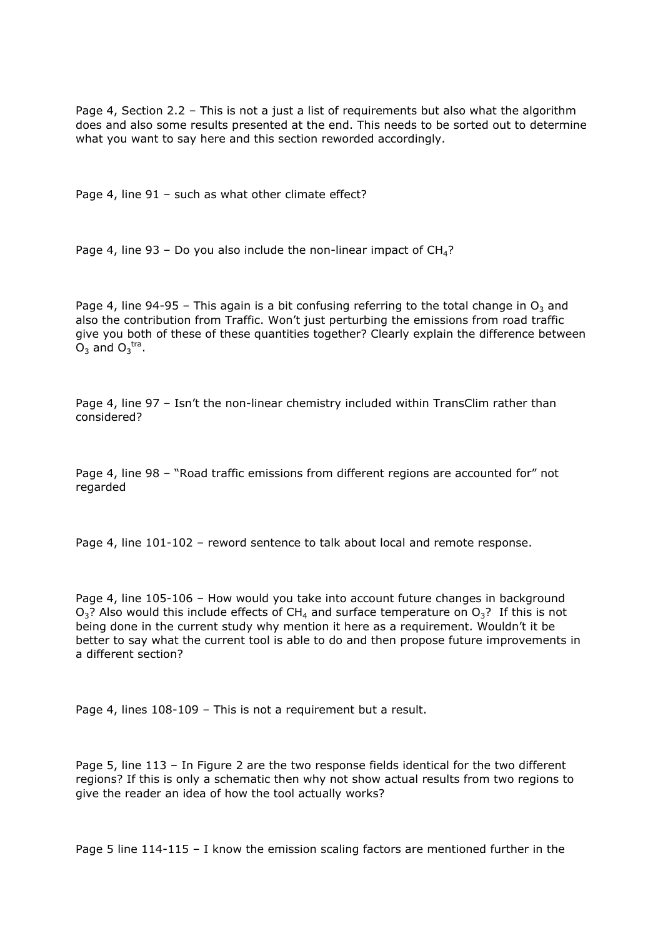Page 4, Section 2.2 – This is not a just a list of requirements but also what the algorithm does and also some results presented at the end. This needs to be sorted out to determine what you want to say here and this section reworded accordingly.

Page 4, line 91 - such as what other climate effect?

Page 4, line 93 – Do you also include the non-linear impact of  $CH<sub>4</sub>$ ?

Page 4, line 94-95 – This again is a bit confusing referring to the total change in  $O_3$  and also the contribution from Traffic. Won't just perturbing the emissions from road traffic give you both of these of these quantities together? Clearly explain the difference between  $O_3$  and  $O_3$ <sup>tra</sup>.

Page 4, line 97 – Isn't the non-linear chemistry included within TransClim rather than considered?

Page 4, line 98 – "Road traffic emissions from different regions are accounted for" not regarded

Page 4, line 101-102 – reword sentence to talk about local and remote response.

Page 4, line 105-106 – How would you take into account future changes in background  $O_3$ ? Also would this include effects of CH<sub>4</sub> and surface temperature on  $O_3$ ? If this is not being done in the current study why mention it here as a requirement. Wouldn't it be better to say what the current tool is able to do and then propose future improvements in a different section?

Page 4, lines 108-109 – This is not a requirement but a result.

Page 5, line 113 – In Figure 2 are the two response fields identical for the two different regions? If this is only a schematic then why not show actual results from two regions to give the reader an idea of how the tool actually works?

Page 5 line 114-115 – I know the emission scaling factors are mentioned further in the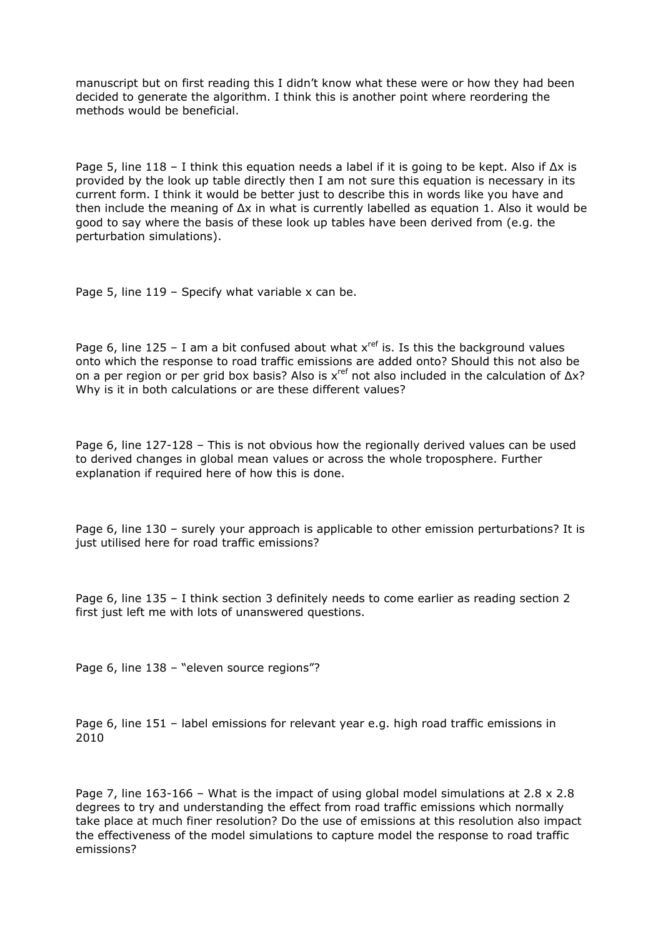manuscript but on first reading this I didn't know what these were or how they had been decided to generate the algorithm. I think this is another point where reordering the methods would be beneficial.

Page 5, line 118 – I think this equation needs a label if it is going to be kept. Also if Δx is provided by the look up table directly then I am not sure this equation is necessary in its current form. I think it would be better just to describe this in words like you have and then include the meaning of  $\Delta x$  in what is currently labelled as equation 1. Also it would be good to say where the basis of these look up tables have been derived from (e.g. the perturbation simulations).

Page 5, line 119 - Specify what variable x can be.

Page 6, line  $125 - I$  am a bit confused about what  $x^{ref}$  is. Is this the background values onto which the response to road traffic emissions are added onto? Should this not also be on a per region or per grid box basis? Also is xref not also included in the calculation of Δx? Why is it in both calculations or are these different values?

Page 6, line 127-128 – This is not obvious how the regionally derived values can be used to derived changes in global mean values or across the whole troposphere. Further explanation if required here of how this is done.

Page 6, line 130 – surely your approach is applicable to other emission perturbations? It is just utilised here for road traffic emissions?

Page 6, line 135 – I think section 3 definitely needs to come earlier as reading section 2 first just left me with lots of unanswered questions.

Page 6, line 138 - "eleven source regions"?

Page 6, line 151 – label emissions for relevant year e.g. high road traffic emissions in 2010

Page 7, line  $163-166$  – What is the impact of using global model simulations at  $2.8 \times 2.8$ degrees to try and understanding the effect from road traffic emissions which normally take place at much finer resolution? Do the use of emissions at this resolution also impact the effectiveness of the model simulations to capture model the response to road traffic emissions?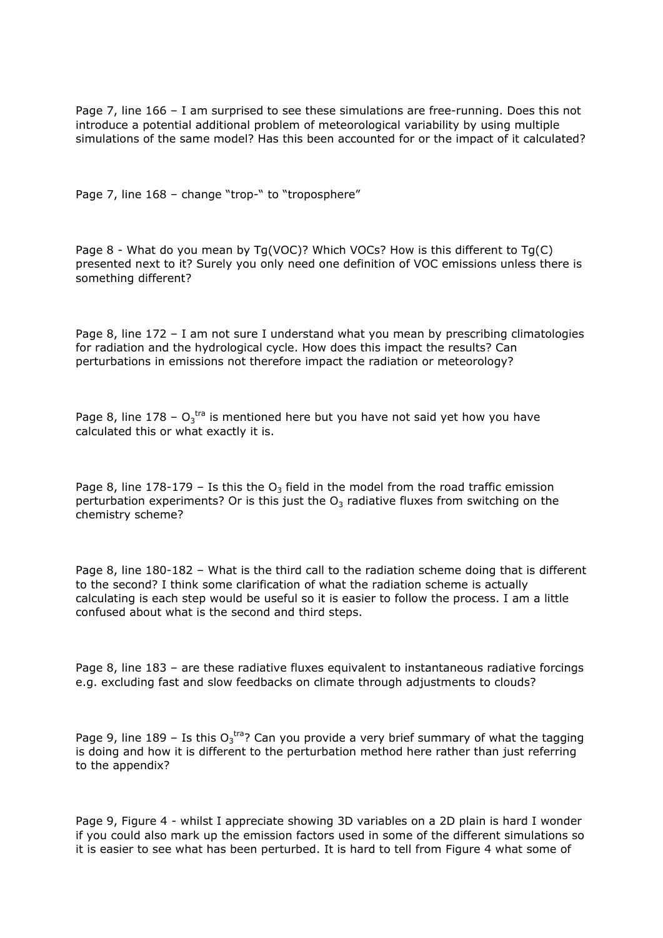Page 7, line 166 – I am surprised to see these simulations are free-running. Does this not introduce a potential additional problem of meteorological variability by using multiple simulations of the same model? Has this been accounted for or the impact of it calculated?

Page 7, line 168 - change "trop-" to "troposphere"

Page 8 - What do you mean by Tg(VOC)? Which VOCs? How is this different to Tg(C) presented next to it? Surely you only need one definition of VOC emissions unless there is something different?

Page 8, line 172 – I am not sure I understand what you mean by prescribing climatologies for radiation and the hydrological cycle. How does this impact the results? Can perturbations in emissions not therefore impact the radiation or meteorology?

Page 8, line 178 –  $O_3$ <sup>tra</sup> is mentioned here but you have not said yet how you have calculated this or what exactly it is.

Page 8, line 178-179 – Is this the  $O_3$  field in the model from the road traffic emission perturbation experiments? Or is this just the  $O_3$  radiative fluxes from switching on the chemistry scheme?

Page 8, line 180-182 – What is the third call to the radiation scheme doing that is different to the second? I think some clarification of what the radiation scheme is actually calculating is each step would be useful so it is easier to follow the process. I am a little confused about what is the second and third steps.

Page 8, line 183 – are these radiative fluxes equivalent to instantaneous radiative forcings e.g. excluding fast and slow feedbacks on climate through adjustments to clouds?

Page 9, line 189 - Is this  $O_3$ <sup>tra</sup>? Can you provide a very brief summary of what the tagging is doing and how it is different to the perturbation method here rather than just referring to the appendix?

Page 9, Figure 4 - whilst I appreciate showing 3D variables on a 2D plain is hard I wonder if you could also mark up the emission factors used in some of the different simulations so it is easier to see what has been perturbed. It is hard to tell from Figure 4 what some of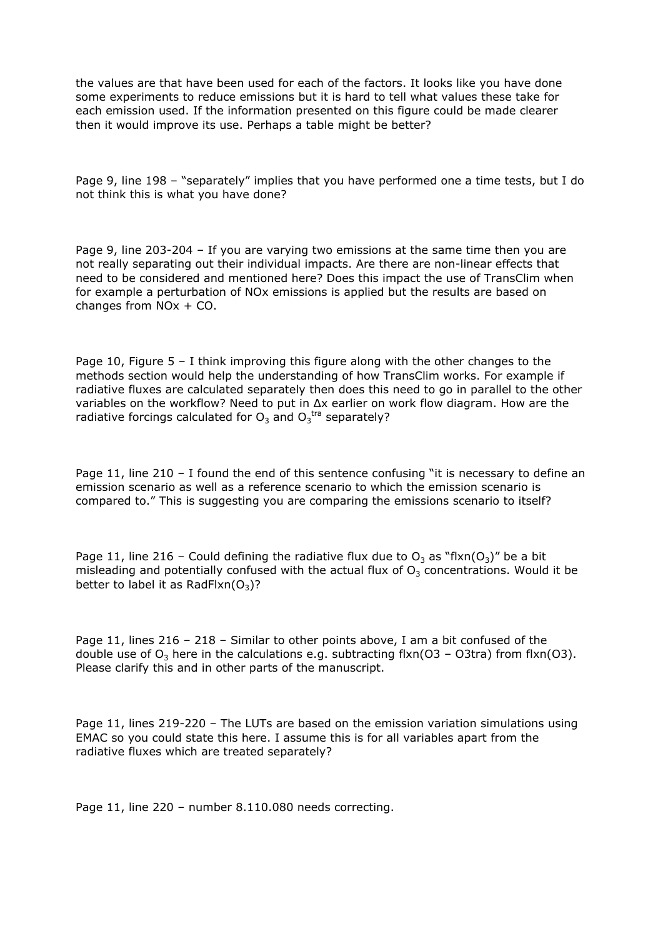the values are that have been used for each of the factors. It looks like you have done some experiments to reduce emissions but it is hard to tell what values these take for each emission used. If the information presented on this figure could be made clearer then it would improve its use. Perhaps a table might be better?

Page 9, line 198 – "separately" implies that you have performed one a time tests, but I do not think this is what you have done?

Page 9, line 203-204 – If you are varying two emissions at the same time then you are not really separating out their individual impacts. Are there are non-linear effects that need to be considered and mentioned here? Does this impact the use of TransClim when for example a perturbation of NOx emissions is applied but the results are based on changes from NOx + CO.

Page 10, Figure  $5 - I$  think improving this figure along with the other changes to the methods section would help the understanding of how TransClim works. For example if radiative fluxes are calculated separately then does this need to go in parallel to the other variables on the workflow? Need to put in Δx earlier on work flow diagram. How are the radiative forcings calculated for  $O_3$  and  $O_3$ <sup>tra</sup> separately?

Page 11, line 210 - I found the end of this sentence confusing "it is necessary to define an emission scenario as well as a reference scenario to which the emission scenario is compared to." This is suggesting you are comparing the emissions scenario to itself?

Page 11, line 216 - Could defining the radiative flux due to  $O_3$  as "flxn( $O_3$ )" be a bit misleading and potentially confused with the actual flux of  $O<sub>3</sub>$  concentrations. Would it be better to label it as RadFlxn $(O_3)$ ?

Page 11, lines 216 – 218 – Similar to other points above, I am a bit confused of the double use of  $O_3$  here in the calculations e.g. subtracting flxn(O3 – O3tra) from flxn(O3). Please clarify this and in other parts of the manuscript.

Page 11, lines 219-220 – The LUTs are based on the emission variation simulations using EMAC so you could state this here. I assume this is for all variables apart from the radiative fluxes which are treated separately?

Page 11, line 220 – number 8.110.080 needs correcting.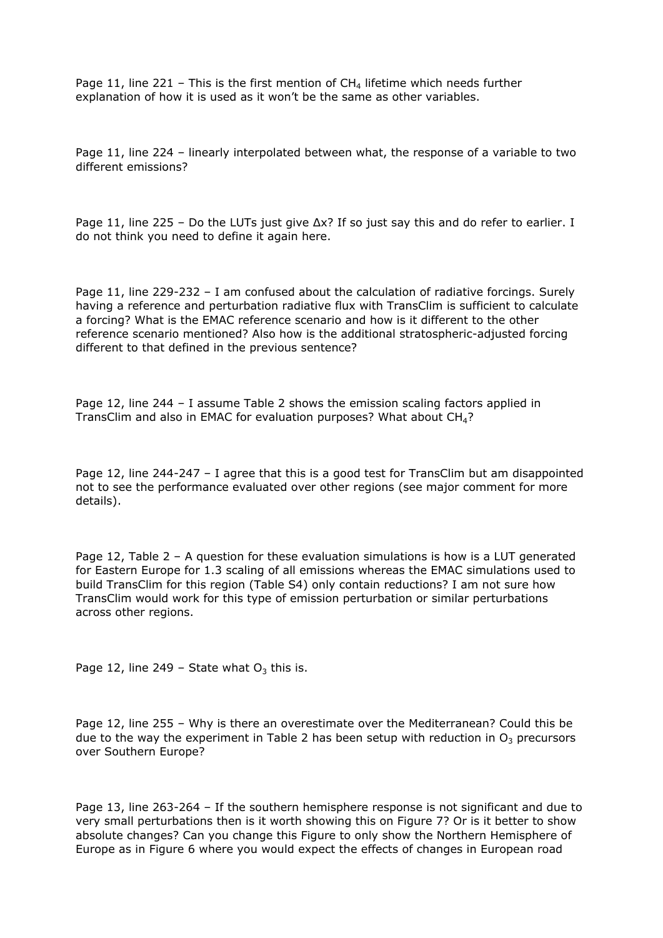Page 11, line 221 – This is the first mention of  $CH<sub>4</sub>$  lifetime which needs further explanation of how it is used as it won't be the same as other variables.

Page 11, line 224 – linearly interpolated between what, the response of a variable to two different emissions?

Page 11, line 225 – Do the LUTs just give  $\Delta x$ ? If so just say this and do refer to earlier. I do not think you need to define it again here.

Page 11, line 229-232 - I am confused about the calculation of radiative forcings. Surely having a reference and perturbation radiative flux with TransClim is sufficient to calculate a forcing? What is the EMAC reference scenario and how is it different to the other reference scenario mentioned? Also how is the additional stratospheric-adjusted forcing different to that defined in the previous sentence?

Page 12, line 244 – I assume Table 2 shows the emission scaling factors applied in TransClim and also in EMAC for evaluation purposes? What about  $CH<sub>4</sub>$ ?

Page 12, line 244-247 – I agree that this is a good test for TransClim but am disappointed not to see the performance evaluated over other regions (see major comment for more details).

Page 12, Table 2 – A question for these evaluation simulations is how is a LUT generated for Eastern Europe for 1.3 scaling of all emissions whereas the EMAC simulations used to build TransClim for this region (Table S4) only contain reductions? I am not sure how TransClim would work for this type of emission perturbation or similar perturbations across other regions.

Page 12, line 249 – State what  $O_3$  this is.

Page 12, line 255 – Why is there an overestimate over the Mediterranean? Could this be due to the way the experiment in Table 2 has been setup with reduction in  $O<sub>3</sub>$  precursors over Southern Europe?

Page 13, line 263-264 – If the southern hemisphere response is not significant and due to very small perturbations then is it worth showing this on Figure 7? Or is it better to show absolute changes? Can you change this Figure to only show the Northern Hemisphere of Europe as in Figure 6 where you would expect the effects of changes in European road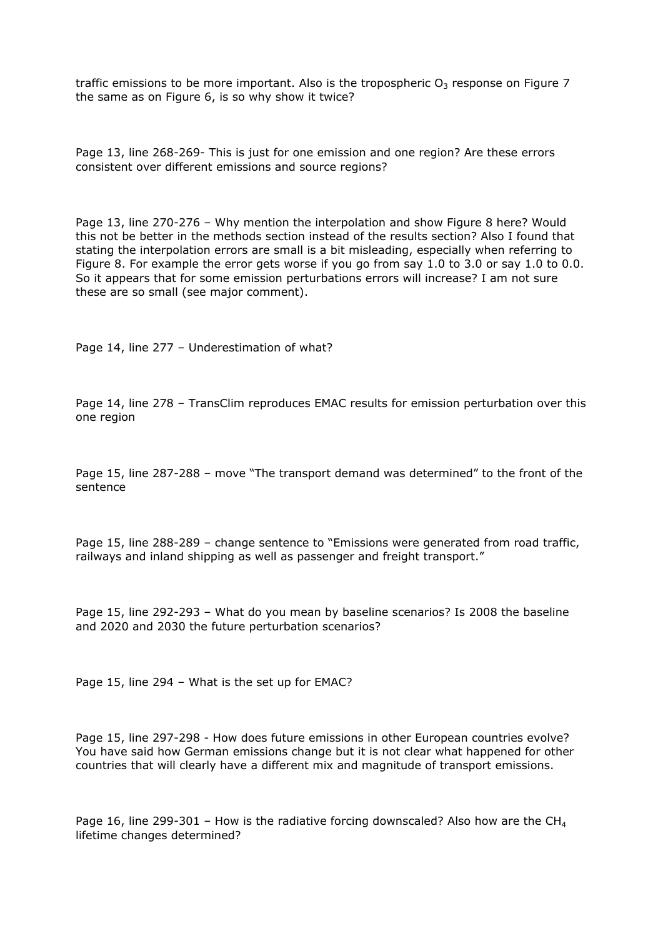traffic emissions to be more important. Also is the tropospheric  $O_3$  response on Figure 7 the same as on Figure 6, is so why show it twice?

Page 13, line 268-269- This is just for one emission and one region? Are these errors consistent over different emissions and source regions?

Page 13, line 270-276 – Why mention the interpolation and show Figure 8 here? Would this not be better in the methods section instead of the results section? Also I found that stating the interpolation errors are small is a bit misleading, especially when referring to Figure 8. For example the error gets worse if you go from say 1.0 to 3.0 or say 1.0 to 0.0. So it appears that for some emission perturbations errors will increase? I am not sure these are so small (see major comment).

Page 14, line 277 – Underestimation of what?

Page 14, line 278 – TransClim reproduces EMAC results for emission perturbation over this one region

Page 15, line 287-288 – move "The transport demand was determined" to the front of the sentence

Page 15, line 288-289 – change sentence to "Emissions were generated from road traffic, railways and inland shipping as well as passenger and freight transport."

Page 15, line 292-293 – What do you mean by baseline scenarios? Is 2008 the baseline and 2020 and 2030 the future perturbation scenarios?

Page 15, line 294 – What is the set up for EMAC?

Page 15, line 297-298 - How does future emissions in other European countries evolve? You have said how German emissions change but it is not clear what happened for other countries that will clearly have a different mix and magnitude of transport emissions.

Page 16, line 299-301 – How is the radiative forcing downscaled? Also how are the CH<sub>4</sub> lifetime changes determined?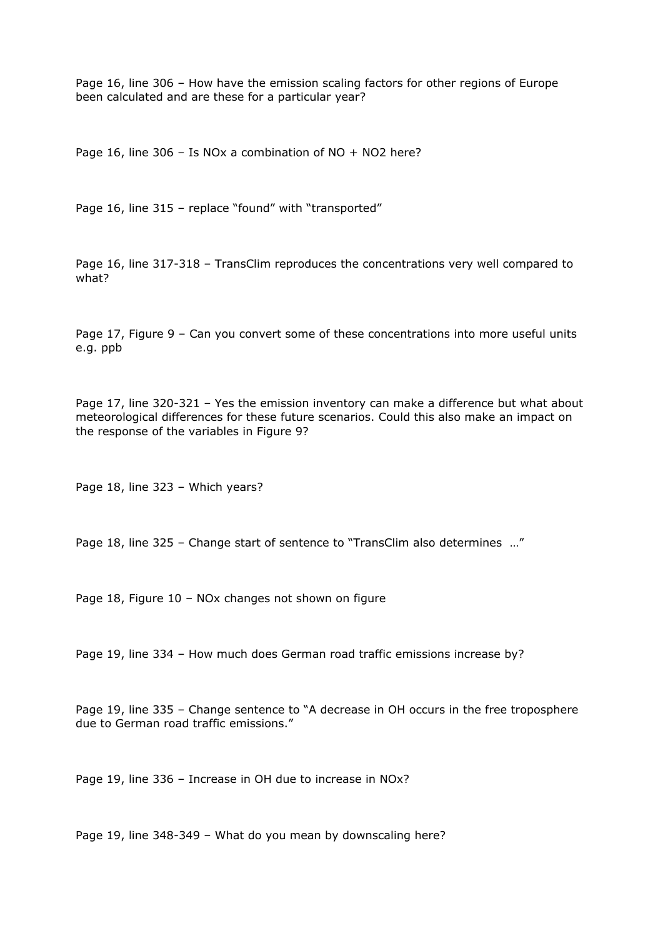Page 16, line 306 – How have the emission scaling factors for other regions of Europe been calculated and are these for a particular year?

Page 16, line 306 – Is NOx a combination of NO + NO2 here?

Page 16, line 315 - replace "found" with "transported"

Page 16, line 317-318 – TransClim reproduces the concentrations very well compared to what?

Page 17, Figure 9 – Can you convert some of these concentrations into more useful units e.g. ppb

Page 17, line 320-321 – Yes the emission inventory can make a difference but what about meteorological differences for these future scenarios. Could this also make an impact on the response of the variables in Figure 9?

Page 18, line 323 – Which years?

Page 18, line 325 – Change start of sentence to "TransClim also determines …"

Page 18, Figure 10 – NOx changes not shown on figure

Page 19, line 334 – How much does German road traffic emissions increase by?

Page 19, line 335 - Change sentence to "A decrease in OH occurs in the free troposphere due to German road traffic emissions."

Page 19, line 336 – Increase in OH due to increase in NOx?

Page 19, line 348-349 – What do you mean by downscaling here?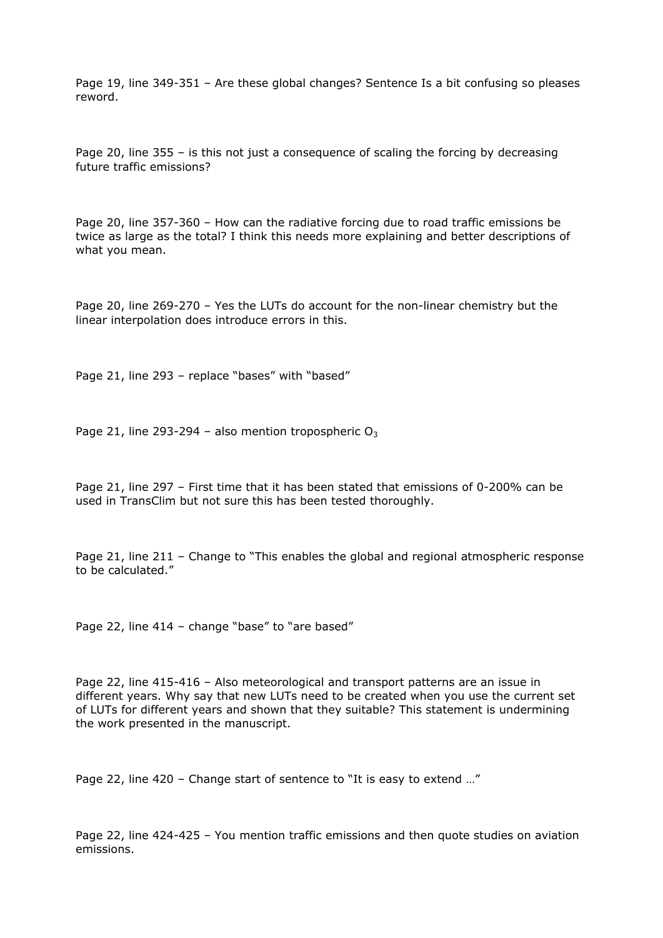Page 19, line 349-351 – Are these global changes? Sentence Is a bit confusing so pleases reword.

Page 20, line 355 – is this not just a consequence of scaling the forcing by decreasing future traffic emissions?

Page 20, line 357-360 – How can the radiative forcing due to road traffic emissions be twice as large as the total? I think this needs more explaining and better descriptions of what you mean.

Page 20, line 269-270 – Yes the LUTs do account for the non-linear chemistry but the linear interpolation does introduce errors in this.

Page 21, line 293 - replace "bases" with "based"

Page 21, line 293-294 – also mention tropospheric  $O_3$ 

Page 21, line 297 – First time that it has been stated that emissions of 0-200% can be used in TransClim but not sure this has been tested thoroughly.

Page 21, line 211 – Change to "This enables the global and regional atmospheric response to be calculated."

Page 22, line 414 - change "base" to "are based"

Page 22, line 415-416 – Also meteorological and transport patterns are an issue in different years. Why say that new LUTs need to be created when you use the current set of LUTs for different years and shown that they suitable? This statement is undermining the work presented in the manuscript.

Page 22, line 420 – Change start of sentence to "It is easy to extend …"

Page 22, line 424-425 – You mention traffic emissions and then quote studies on aviation emissions.